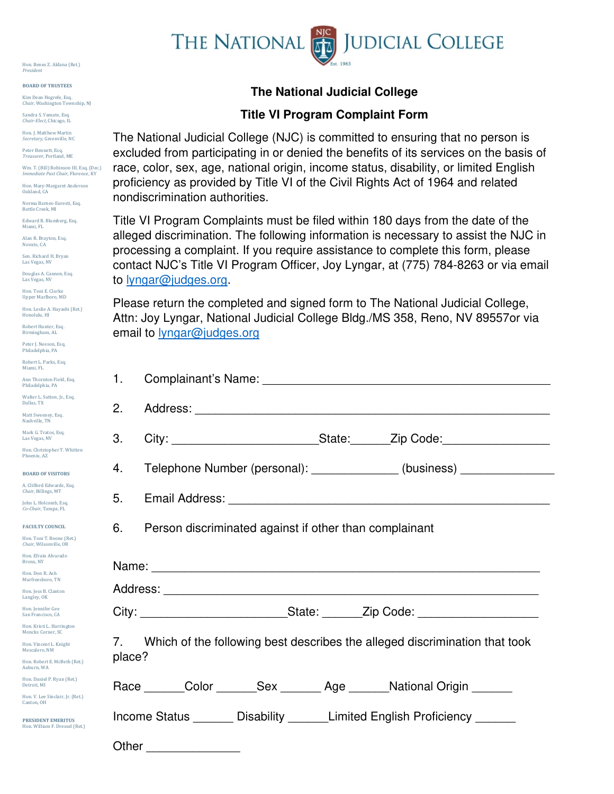

## Hon. Benes Z. Aldana (Ret.) *President*

## **BOARD OF TRUSTEES**

Kim Dean Hogrefe, Esq. *Chair,* Washington Township, NJ

Sandra S. Yamate, Esq. *Chair-Elect,* Chicago, IL

Hon. J. Matthew Martin *Secretary,* Greenville, NC

Peter Bennett, Esq. *Treasurer,* Portland, ME

Wm. T. (Bill) Robinson III, Esq. (Dec.) *Immediate Past Chair,* Florence, KY

on. Mary-Margaret Anderson Oakland, CA

Norma Barnes-Euresti, Esq. Battle Creek, MI

Edward R. Blumberg, Esq. Miami, FL

Alan R. Brayton, Esq. Novato, CA

Sen. Richard H. Bryan

Las Vegas, NV Douglas A. Cannon, Esq. Las Vegas, NV

Hon. Toni E. Clarke Upper Marlboro, MD

Hon. Leslie A. Hayashi (Ret.) Honolulu, HI

Robert Hunter, Esq. Birmingham, AL

Peter J. Neeson, Esq.

Philadelphia, PA Robert L. Parks, Esq.

Miami, FL

Ann Thornton Field, Esq. Philadelphia, PA

Walter L. Sutton, Jr., Esq. Dallas, TX

Matt Sweeney, Esq. Nashville, TN

Mark G. Tratos, Esq. Las Vegas, NV

Hon. Christopher T. Whitten Phoenix, AZ

**BOARD OF VISITORS**

A. Clifford Edwards, Esq. *Chair,* Billings, MT John L. Holcomb, Es

*Co-Chair,* Tampa, FL **FACULTY COUNCIL**

Hon. Toni T. Boone (Ret.) *Chair,* Wilsonville, OR

Hon. Efrain Alvarado Bronx, NY

Hon. Don R. Ash

Murfreesboro, TN Hon. Jess B. Clanton

Langley, OK Hon. Jennifer Ge

San Francisco, CA

Hon. Kristi L. Harrington Moncks Corner, SC

Hon. Vincent L. Knight Mescalero, NM

Hon. Robert E. McBeth (Ret.)

Auburn, WA Hon. Daniel P. Ryan (Ret.)

Detroit, MI Hon. V. Lee Sinclair, Jr. (Ret.)

Canton, OH

**PRESIDENT EMERITUS** Hon. William F. Dressel (Ret.)

## **The National Judicial College**

## **Title VI Program Complaint Form**

The National Judicial College (NJC) is committed to ensuring that no person is excluded from participating in or denied the benefits of its services on the basis of race, color, sex, age, national origin, income status, disability, or limited English proficiency as provided by Title VI of the Civil Rights Act of 1964 and related nondiscrimination authorities.

Title VI Program Complaints must be filed within 180 days from the date of the alleged discrimination. The following information is necessary to assist the NJC in processing a complaint. If you require assistance to complete this form, please contact NJC's Title VI Program Officer, Joy Lyngar, at (775) 784-8263 or via email to [lyngar@judges.org.](mailto:lyngar@judges.org)

Please return the completed and signed form to The National Judicial College, Attn: Joy Lyngar, National Judicial College Bldg./MS 358, Reno, NV 89557or via email to [lyngar@judges.org](mailto:lyngar@judges.org)

| 1.                                                                                      |                                                                                  |
|-----------------------------------------------------------------------------------------|----------------------------------------------------------------------------------|
| 2.                                                                                      |                                                                                  |
| 3.                                                                                      | City: __________________________________State: _________Zip Code: ______________ |
| 4.                                                                                      | Telephone Number (personal): ______________ (business) _________________________ |
| 5.                                                                                      |                                                                                  |
| 6.                                                                                      | Person discriminated against if other than complainant                           |
| Name: Name:                                                                             |                                                                                  |
|                                                                                         |                                                                                  |
|                                                                                         | City: ________________________________State: _________Zip Code: ________________ |
| 7. Which of the following best describes the alleged discrimination that took<br>place? |                                                                                  |
|                                                                                         | Race _______Color ________Sex ________ Age _______National Origin _______        |
| Income Status _______ Disability _______Limited English Proficiency _______             |                                                                                  |
| Other                                                                                   |                                                                                  |